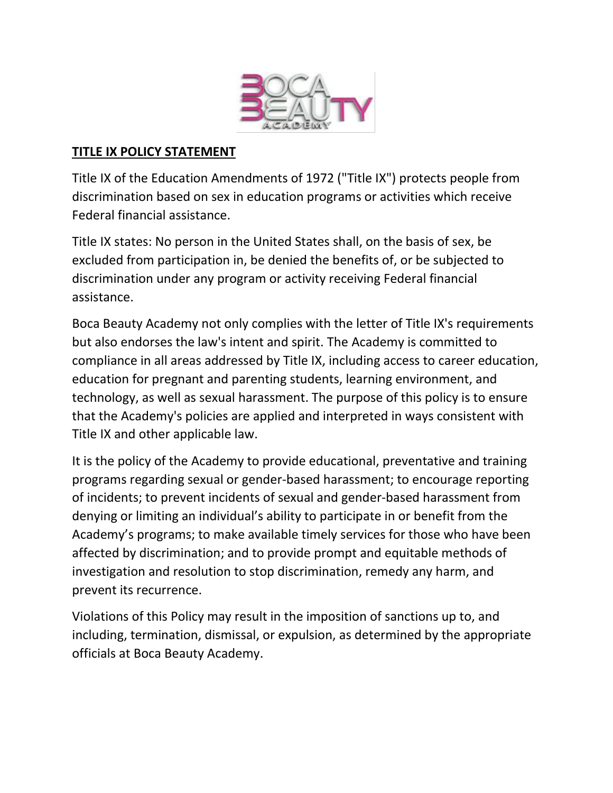

#### **TITLE IX POLICY STATEMENT**

Title IX of the Education Amendments of 1972 ("Title IX") protects people from discrimination based on sex in education programs or activities which receive Federal financial assistance.

Title IX states: No person in the United States shall, on the basis of sex, be excluded from participation in, be denied the benefits of, or be subjected to discrimination under any program or activity receiving Federal financial assistance.

Boca Beauty Academy not only complies with the letter of Title IX's requirements but also endorses the law's intent and spirit. The Academy is committed to compliance in all areas addressed by Title IX, including access to career education, education for pregnant and parenting students, learning environment, and technology, as well as sexual harassment. The purpose of this policy is to ensure that the Academy's policies are applied and interpreted in ways consistent with Title IX and other applicable law.

It is the policy of the Academy to provide educational, preventative and training programs regarding sexual or gender‐based harassment; to encourage reporting of incidents; to prevent incidents of sexual and gender‐based harassment from denying or limiting an individual's ability to participate in or benefit from the Academy's programs; to make available timely services for those who have been affected by discrimination; and to provide prompt and equitable methods of investigation and resolution to stop discrimination, remedy any harm, and prevent its recurrence.

Violations of this Policy may result in the imposition of sanctions up to, and including, termination, dismissal, or expulsion, as determined by the appropriate officials at Boca Beauty Academy.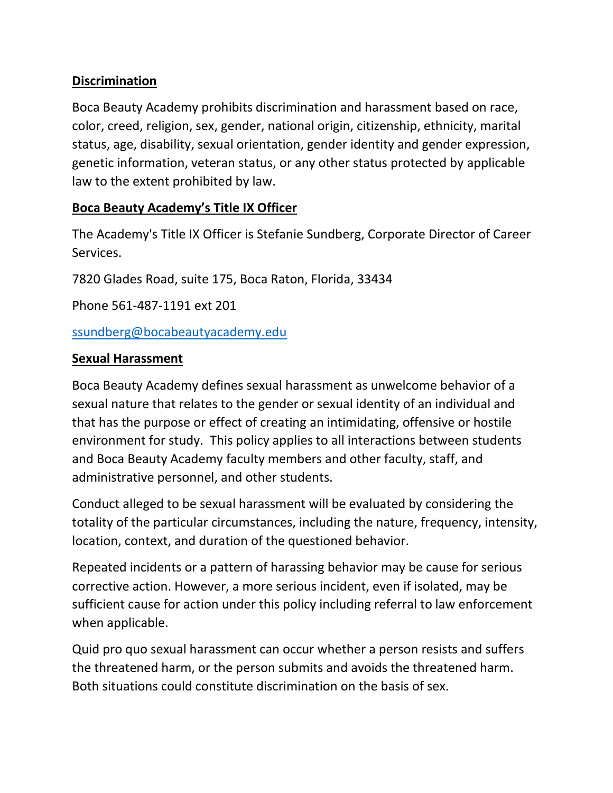### **Discrimination**

Boca Beauty Academy prohibits discrimination and harassment based on race, color, creed, religion, sex, gender, national origin, citizenship, ethnicity, marital status, age, disability, sexual orientation, gender identity and gender expression, genetic information, veteran status, or any other status protected by applicable law to the extent prohibited by law.

#### **Boca Beauty Academy's Title IX Officer**

The Academy's Title IX Officer is Stefanie Sundberg, Corporate Director of Career Services.

7820 Glades Road, suite 175, Boca Raton, Florida, 33434

Phone 561-487-1191 ext 201

[ssundberg@bocabeautyacademy.edu](mailto:ssundberg@bocabeautyacademy.edu)

#### **Sexual Harassment**

Boca Beauty Academy defines sexual harassment as unwelcome behavior of a sexual nature that relates to the gender or sexual identity of an individual and that has the purpose or effect of creating an intimidating, offensive or hostile environment for study. This policy applies to all interactions between students and Boca Beauty Academy faculty members and other faculty, staff, and administrative personnel, and other students.

Conduct alleged to be sexual harassment will be evaluated by considering the totality of the particular circumstances, including the nature, frequency, intensity, location, context, and duration of the questioned behavior.

Repeated incidents or a pattern of harassing behavior may be cause for serious corrective action. However, a more serious incident, even if isolated, may be sufficient cause for action under this policy including referral to law enforcement when applicable.

Quid pro quo sexual harassment can occur whether a person resists and suffers the threatened harm, or the person submits and avoids the threatened harm. Both situations could constitute discrimination on the basis of sex.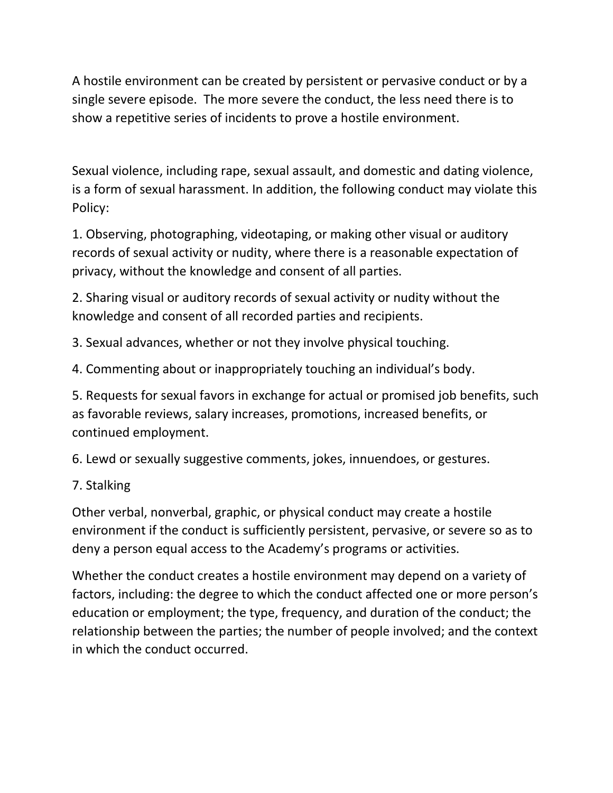A hostile environment can be created by persistent or pervasive conduct or by a single severe episode. The more severe the conduct, the less need there is to show a repetitive series of incidents to prove a hostile environment.

Sexual violence, including rape, sexual assault, and domestic and dating violence, is a form of sexual harassment. In addition, the following conduct may violate this Policy:

1. Observing, photographing, videotaping, or making other visual or auditory records of sexual activity or nudity, where there is a reasonable expectation of privacy, without the knowledge and consent of all parties.

2. Sharing visual or auditory records of sexual activity or nudity without the knowledge and consent of all recorded parties and recipients.

3. Sexual advances, whether or not they involve physical touching.

4. Commenting about or inappropriately touching an individual's body.

5. Requests for sexual favors in exchange for actual or promised job benefits, such as favorable reviews, salary increases, promotions, increased benefits, or continued employment.

6. Lewd or sexually suggestive comments, jokes, innuendoes, or gestures.

## 7. Stalking

Other verbal, nonverbal, graphic, or physical conduct may create a hostile environment if the conduct is sufficiently persistent, pervasive, or severe so as to deny a person equal access to the Academy's programs or activities.

Whether the conduct creates a hostile environment may depend on a variety of factors, including: the degree to which the conduct affected one or more person's education or employment; the type, frequency, and duration of the conduct; the relationship between the parties; the number of people involved; and the context in which the conduct occurred.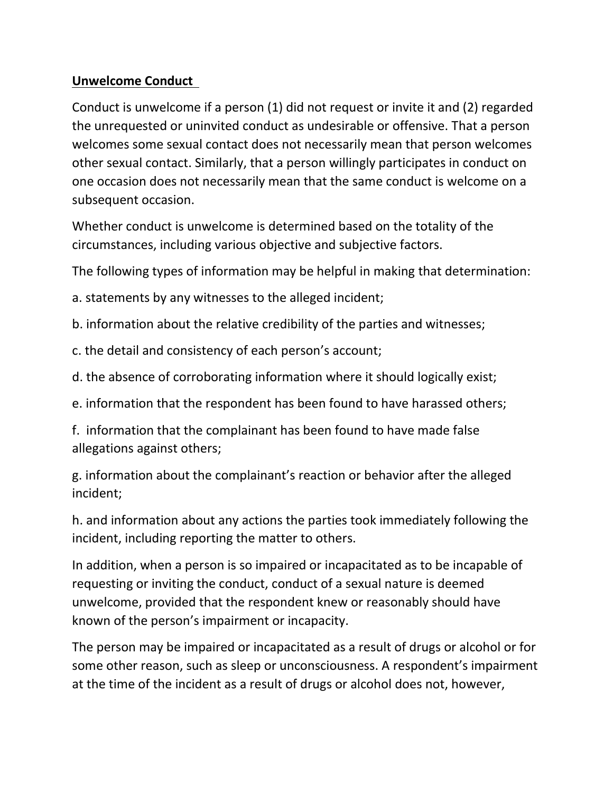### **Unwelcome Conduct**

Conduct is unwelcome if a person (1) did not request or invite it and (2) regarded the unrequested or uninvited conduct as undesirable or offensive. That a person welcomes some sexual contact does not necessarily mean that person welcomes other sexual contact. Similarly, that a person willingly participates in conduct on one occasion does not necessarily mean that the same conduct is welcome on a subsequent occasion.

Whether conduct is unwelcome is determined based on the totality of the circumstances, including various objective and subjective factors.

The following types of information may be helpful in making that determination:

a. statements by any witnesses to the alleged incident;

b. information about the relative credibility of the parties and witnesses;

c. the detail and consistency of each person's account;

d. the absence of corroborating information where it should logically exist;

e. information that the respondent has been found to have harassed others;

f. information that the complainant has been found to have made false allegations against others;

g. information about the complainant's reaction or behavior after the alleged incident;

h. and information about any actions the parties took immediately following the incident, including reporting the matter to others.

In addition, when a person is so impaired or incapacitated as to be incapable of requesting or inviting the conduct, conduct of a sexual nature is deemed unwelcome, provided that the respondent knew or reasonably should have known of the person's impairment or incapacity.

The person may be impaired or incapacitated as a result of drugs or alcohol or for some other reason, such as sleep or unconsciousness. A respondent's impairment at the time of the incident as a result of drugs or alcohol does not, however,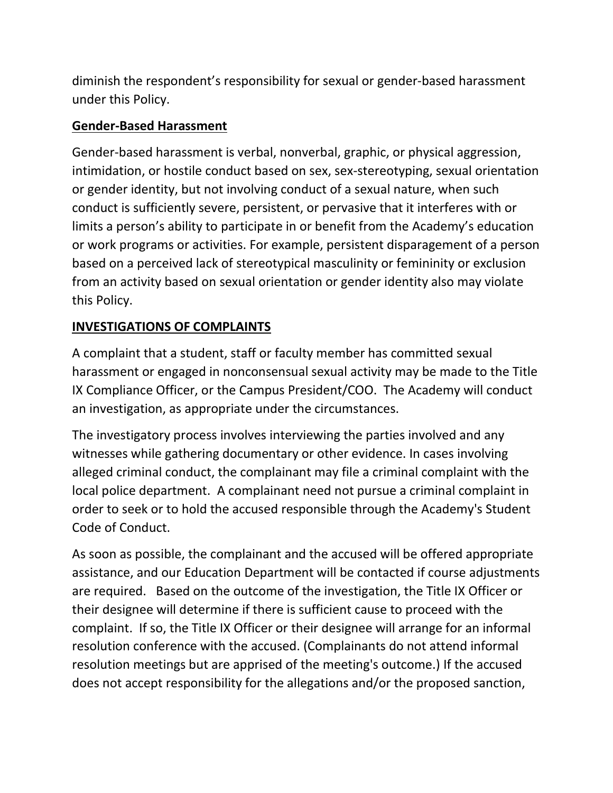diminish the respondent's responsibility for sexual or gender‐based harassment under this Policy.

## **Gender‐Based Harassment**

Gender‐based harassment is verbal, nonverbal, graphic, or physical aggression, intimidation, or hostile conduct based on sex, sex‐stereotyping, sexual orientation or gender identity, but not involving conduct of a sexual nature, when such conduct is sufficiently severe, persistent, or pervasive that it interferes with or limits a person's ability to participate in or benefit from the Academy's education or work programs or activities. For example, persistent disparagement of a person based on a perceived lack of stereotypical masculinity or femininity or exclusion from an activity based on sexual orientation or gender identity also may violate this Policy.

# **INVESTIGATIONS OF COMPLAINTS**

A complaint that a student, staff or faculty member has committed sexual harassment or engaged in nonconsensual sexual activity may be made to the Title IX Compliance Officer, or the Campus President/COO. The Academy will conduct an investigation, as appropriate under the circumstances.

The investigatory process involves interviewing the parties involved and any witnesses while gathering documentary or other evidence. In cases involving alleged criminal conduct, the complainant may file a criminal complaint with the local police department. A complainant need not pursue a criminal complaint in order to seek or to hold the accused responsible through the Academy's Student Code of Conduct.

As soon as possible, the complainant and the accused will be offered appropriate assistance, and our Education Department will be contacted if course adjustments are required. Based on the outcome of the investigation, the Title IX Officer or their designee will determine if there is sufficient cause to proceed with the complaint. If so, the Title IX Officer or their designee will arrange for an informal resolution conference with the accused. (Complainants do not attend informal resolution meetings but are apprised of the meeting's outcome.) If the accused does not accept responsibility for the allegations and/or the proposed sanction,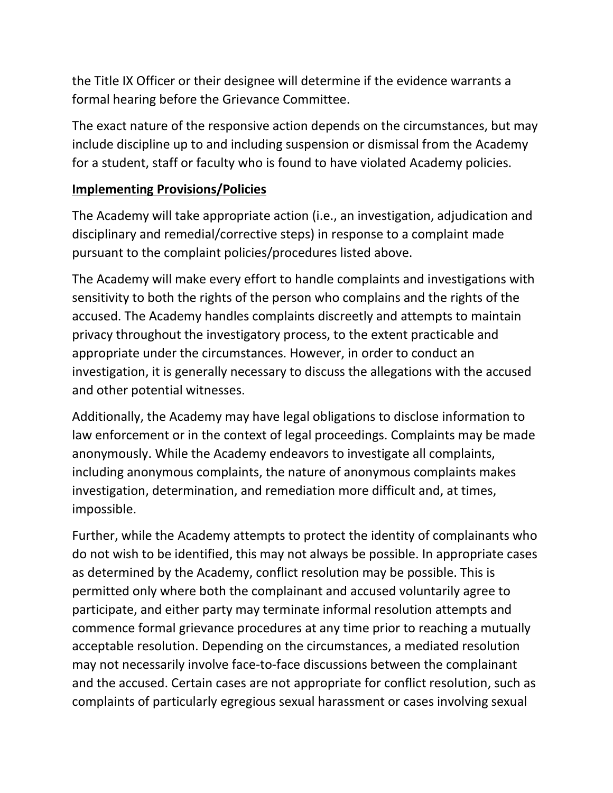the Title IX Officer or their designee will determine if the evidence warrants a formal hearing before the Grievance Committee.

The exact nature of the responsive action depends on the circumstances, but may include discipline up to and including suspension or dismissal from the Academy for a student, staff or faculty who is found to have violated Academy policies.

## **Implementing Provisions/Policies**

The Academy will take appropriate action (i.e., an investigation, adjudication and disciplinary and remedial/corrective steps) in response to a complaint made pursuant to the complaint policies/procedures listed above.

The Academy will make every effort to handle complaints and investigations with sensitivity to both the rights of the person who complains and the rights of the accused. The Academy handles complaints discreetly and attempts to maintain privacy throughout the investigatory process, to the extent practicable and appropriate under the circumstances. However, in order to conduct an investigation, it is generally necessary to discuss the allegations with the accused and other potential witnesses.

Additionally, the Academy may have legal obligations to disclose information to law enforcement or in the context of legal proceedings. Complaints may be made anonymously. While the Academy endeavors to investigate all complaints, including anonymous complaints, the nature of anonymous complaints makes investigation, determination, and remediation more difficult and, at times, impossible.

Further, while the Academy attempts to protect the identity of complainants who do not wish to be identified, this may not always be possible. In appropriate cases as determined by the Academy, conflict resolution may be possible. This is permitted only where both the complainant and accused voluntarily agree to participate, and either party may terminate informal resolution attempts and commence formal grievance procedures at any time prior to reaching a mutually acceptable resolution. Depending on the circumstances, a mediated resolution may not necessarily involve face‐to‐face discussions between the complainant and the accused. Certain cases are not appropriate for conflict resolution, such as complaints of particularly egregious sexual harassment or cases involving sexual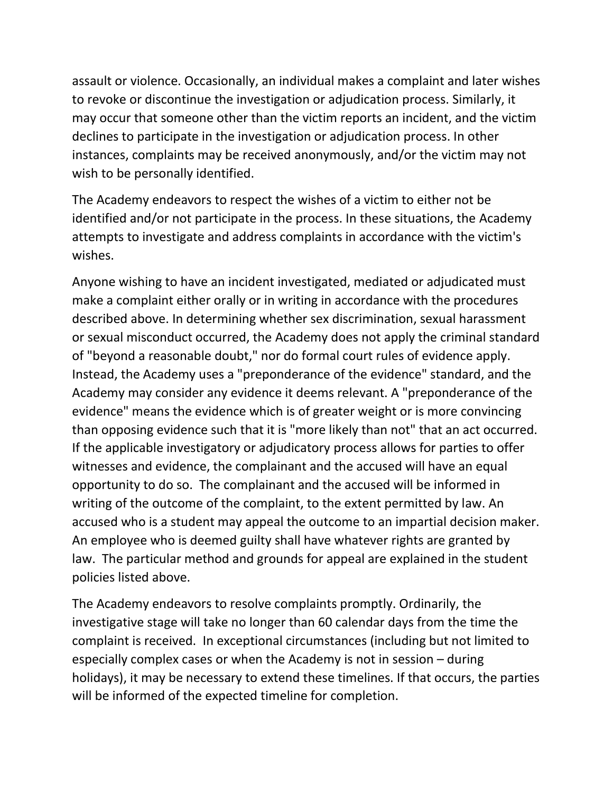assault or violence. Occasionally, an individual makes a complaint and later wishes to revoke or discontinue the investigation or adjudication process. Similarly, it may occur that someone other than the victim reports an incident, and the victim declines to participate in the investigation or adjudication process. In other instances, complaints may be received anonymously, and/or the victim may not wish to be personally identified.

The Academy endeavors to respect the wishes of a victim to either not be identified and/or not participate in the process. In these situations, the Academy attempts to investigate and address complaints in accordance with the victim's wishes.

Anyone wishing to have an incident investigated, mediated or adjudicated must make a complaint either orally or in writing in accordance with the procedures described above. In determining whether sex discrimination, sexual harassment or sexual misconduct occurred, the Academy does not apply the criminal standard of "beyond a reasonable doubt," nor do formal court rules of evidence apply. Instead, the Academy uses a "preponderance of the evidence" standard, and the Academy may consider any evidence it deems relevant. A "preponderance of the evidence" means the evidence which is of greater weight or is more convincing than opposing evidence such that it is "more likely than not" that an act occurred. If the applicable investigatory or adjudicatory process allows for parties to offer witnesses and evidence, the complainant and the accused will have an equal opportunity to do so. The complainant and the accused will be informed in writing of the outcome of the complaint, to the extent permitted by law. An accused who is a student may appeal the outcome to an impartial decision maker. An employee who is deemed guilty shall have whatever rights are granted by law. The particular method and grounds for appeal are explained in the student policies listed above.

The Academy endeavors to resolve complaints promptly. Ordinarily, the investigative stage will take no longer than 60 calendar days from the time the complaint is received. In exceptional circumstances (including but not limited to especially complex cases or when the Academy is not in session – during holidays), it may be necessary to extend these timelines. If that occurs, the parties will be informed of the expected timeline for completion.